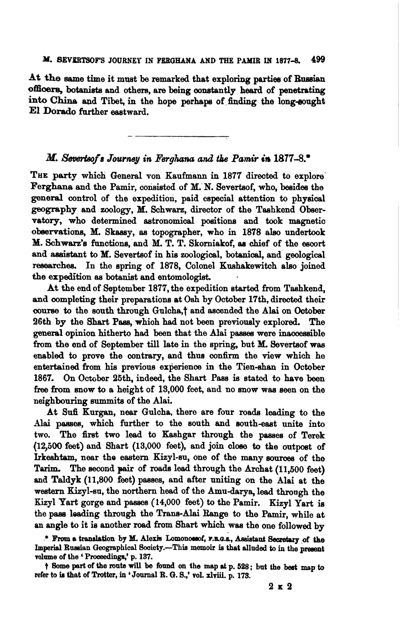#### M. SEVERTSOF'S JOURNEY IN FERGHANA AND THE PAMIR IN 1877-8. 499

At the same time it must be remarked that exploring parties of Russian officers, botanists and others, are being constantly heard of penetrating into China and Tibet, in the hope perhaps of finding the long-sought El Dorado further eastward.

## M. Severtsof's Journey in Ferghana and the Pamir in 1877-8.\*

THE party which General von Kaufmann in 1877 directed to explore Ferghana and the Pamir, consisted of M. N. Severtsof, who, besides the general control of the expedition, paid especial attention to physical geography and zoology, M. Schwarz, director of the Tashkend Observatory, who determined astronomical positions and took magnetic observations, M. Skassy, as topographer, who in 1878 also undertook M. Schwarz's functions, and M. T. T. Skorniakof, as chief of the escort and assistant to M. Severtsof in his zoological, botanical, and geological researches. In the spring of 1878, Colonel Kushakewitch also joined the expedition as botanist and entomologist.

At the end of September 1877, the expedition started from Tashkend. and completing their preparations at Osh by October 17th, directed their course to the south through Gulcha,t and ascended the Alai on October 26th by the Shart Pass, which had not been previously explored. The general opinion hitherto had been that the Alai passes were inaccessible from the end of September till late in the spring, but M. Severts of was enabled to prove the contrary, and thus confirm the view which he entertained from his previous experience in the Tien-shan in October 1867. On October 25th, indeed, the Shart Pass is stated to have been free from snow to a height of 13,000 feet, and no snow was seen on the neighbouring summits of the Alai.

At Sufi Kurgan, near Gulcha, there are four roads leading to the Alai passes, which further to the south and south-east unite into two. The first two lead to Kashgar through the passes of Terek (12,500 feet) and Shart (13,000 feet), and join close to the outpost of Irkeshtam, near the eastern Kizyl-su, one of the many sources of the Tarim. The second pair of roads lead through the Archat (11,500 feet) and Taldyk (11,800 feet) passes, and after uniting on the Alai at the western Kizyl-su, the northern head of the Amu-darya, lead through the Kizyl Yart gorge and passes (14,000 feet) to the Pamir. Kizyl Yart is the pass leading through the Trans-Alai Range to the Pamir, while at an angle to it is another road from Shart which was the one followed by

<sup>\*</sup> From a translation by M. Alexis Lomonossof, F.B.G.a., Assistant Secretary of the Imperial Russian Geographical Society.-This memoir is that alluded to in the present volume of the 'Proceedings,' p. 137.

t Some part of the route will be found on the map at p. 528; but the best map to refer to is that of Trotter, in 'Journal R. G. S.,' vol. xlviii. p. 173.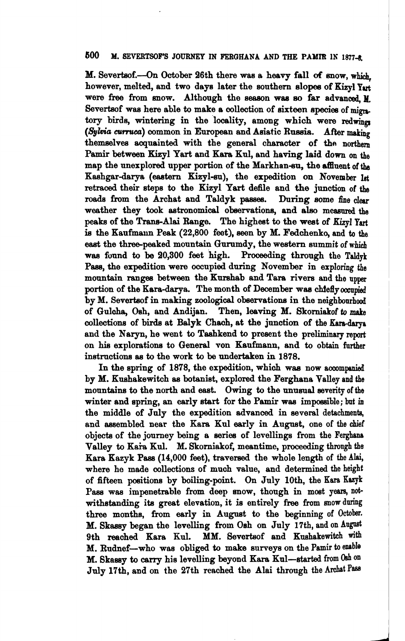## **600 M. SEVERTSOF'S JOURNEY IN FEBQHANA** AND **THE PAYIB IN 18774**

**M.** Severtsof.---On October 26th there was a heavy fall of snow, which. however, melted, and two daye later the southern elopee of Kizyl **Yut**  were free from snow. Although the season was so far advanced **M**. Severtsof was here able to make a collection of sixteen species of migratory birds, wintering in the locality, among which were redwing **(@@a** curma) oommon in European and Asiatic **Russia.** After **making**  themselves acquainted with the general character of the northern Pamir between Kizyl Yart and Kara Kul, and having laid down on the map the unexplored upper portion of the Markhan-su, the affluent of the Kashgar-darya (eastern Kizyl-su), the expedition on November Ist retraced their steps to the Kizyl Yart defile and the junction of the roads from the Archat and Taldyk passes. During some fine clear roads from the Archat and Taldyk passes. weather they took astronomical observations, and also measured the peaks of the Trans-Alai Range. The highest to the west of Kizyl Yart is the Kaufmann Peak (22,800 feet), seen by M. Fedchenko, and to the east the three-peaked mountain Gurumdy, the western summit of which **was** found to be 90,300 feet high. Proceeding through tho **Tsldgk**  Pass, the expedition were occupied during November in exploring the mountain rangee between the Kurshab and Tara rivers and the **upper**  portion of the Ears-darya. The month of December **waa** chfeily **occupied**  by M. Severtsof in making zoological observations in the neighbourhood of Guloha, Osh, and Andijan. Then, leaving M. Skorniakof to make oolledione of birds at Balyk Chaoh, at the **junoticm** of **the**  and the Naryn, he went to Tashkend to present the preliminary **report**  on **hie** explorations to General von Kaufmann, and to obtain further instructions as to the work to be undertaken in 1878.

In the spring of 1878, the expedition, which was now accompanied by **Y.** Enshakewitch ee botanist, explored the Ferghana Valley and the mountains to the north and east. Owing to the unusual severity of the winter and spring, an early start for the Pamir was impossible; but in the middle of July the expedition advanced in several detachments, and assembled near the Kara Kul early in August, one of the chief objects of the journey being a series of levellings from the Ferghana Valley to Kaia Kul. M. Skorniakof, meantime, proceeding throngh the Kara Kazyk Pesa (14,000 feet), traversed the whole length of tho **Alai,**  where he made collections of much value, and determined the height of fifteen positione by boiling-point. On July loth, the **Kara Kvk**  Pass was impenetrable from deep snow, though in most years, notwithstanding its great elevation, it is entirely free from snow during three months, from early in August to the beginning of October. M. Skassy began the levelling from Osh on July 17th, and on August 9th reached Kara Kul. MM. Severtsof and Kushakewitch with M. Rudnef-who waa obliged to make eurveys on the Pamir **to enable**  M. Skaesy to carry hie levelling beyond Kara Kul-started from **Oah** on July 17th, and on the 27th reached the Alai through the Archat Pass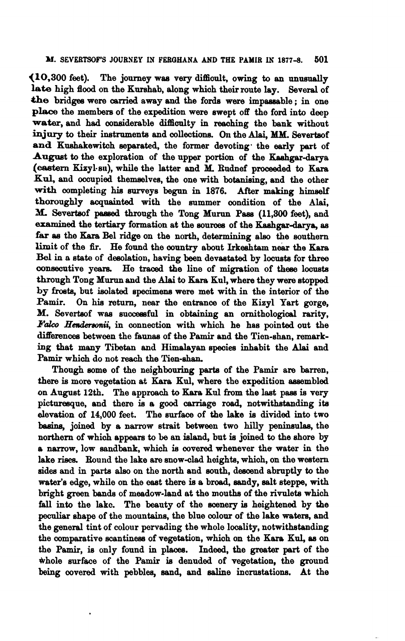**(10,300 feet).** The journey was very difficult, owing to an unusually late high flood on the Kurshab, along which their route lay. Several of **the** bridgee were carried away **and** the fords were impeseable ; in one place the membera of the expedition were swept off the ford into deep water, and had considerable difficulty in reaching the bank without **injurg** to their instruments and collections. **On** the Alai, **M.M.** Severbof and Kushakewitch separated, the former devoting the early part of August to the exploration of the upper portion of the Kashgar-darya (eastern Kizyl-su), while the latter and M. Rudnef proceeded to Kara Kul, and occupied themselves, the one with botanising, and the other with completing his surveys begun in 1876. After making himself with completing his surveys begun in 1876. thoroughly **acquainted** with the summer oondition of the **Alai,**  M. Severtsof passed through the Tong Murun Pass (11,300 feet), and examined the tertiary formation at the sources of the Kashgar-darya, as far as the Kara Bel ridge on the north, determining also the southern limit of the fir. He found the country about Irkeshtam near the Kara Be1 in a state of deeolation, having been devastated by locusts for three consecutive yeam He traoed the line of migration of **theee** locusts through Tong **Yurun** and the Alai to **Kara** Knl, where they were stopped **by froeta,** but ieolated specimens were met with in the interior of the Pamir. On his return, near the entrance of the Kizyl Yart gorge, *84.* Severteof was **woceesful** in obtaining an ornithological rarity, Falco Hendersonii, in connection with which he has pointed out the differences between the faunas of the Pamir and the Tien-shan, remark**ing** that many Tibetan and Himalayan epeoies inhabit the Alai and **Pamir** which do not reach the Tien-ahan.

Though **some** of the neighboaring **parta** of the Pamir are barren, there is more vegetation at Kara Kul, where the expedition assembled on August 12th. The approach to Kara Kul from the laet paas **ia** very picturesque, and there is a **good** carriage road, notwithstanding its elevation of 14,000 feet. The surface of the lake is divided into two **basine,** joined by a narrow strait between two hilly peninsulas, the northern of which appears to **be** an island, but **ie** joined to the shore by a narrow, low sandbank, which is covered whenever the water in the lake rises. Round the lake are snow-clad heights, which, on the western aides and in **parts** also on the north and south, deeoend abruptly to the water's edge, while on the eaet there is a broad, aandy, ealt steppe, with bright green **bands** of meadow-land at the mouths of the rivulets which fall into the lakc. The beauty of the ecenery **is** heightened by the pecnliar shape of the mountains, the blue oolour of the lake watera, and the general tint of colour pervading the whole locality, notwithstending the comparative acantinese of vegetation, which on the Kara Kul, **ae** on the Pamir, is only found in places. Indeed, the greater **part** of the whole surface of the Pamir is denuded of vegetation, the ground **being** oovered with pebblea, aand, and ealine incrustations. At the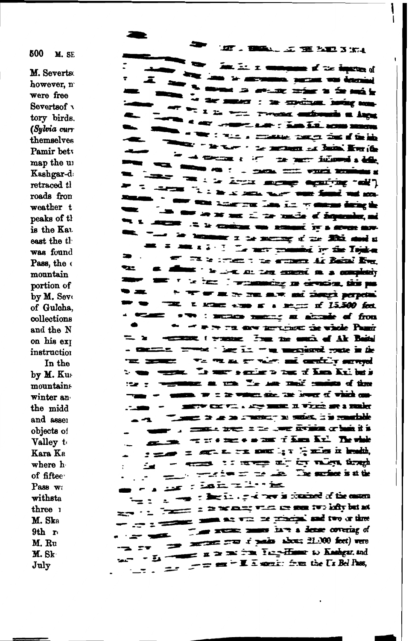500 M. SE

M. Severts however, n were free Severtsof<sub>3</sub> tory birds. (Sulvia curr themselves Pamir bety map the u Kashgar-d retraced tl roads from weather t peaks of th is the Kat. east the th was found Pass, the monntain portion of by M. Seve of Gulcha. collections and the N on his ext instruction In the by M. Kus mountains winter an the midd and asser objects of Valley to Kara Ka where h of fiftee Pass w: withsta  $th$ rea $<sub>1</sub>$ </sub> M. Ska  $9th$  r M. Ru M. Sk July

**E. BALL E BARTER** 

for fit is common of the figures of the two is surround partner was deterined Ã. **The movement of an except contains to the second by** we are must as the expectant having some er wir zu wird process auch werd in Angel  $\overline{\phantom{a}}$ <sup>1</sup> < ACT UNIONS LAP : AND LE ACHO MORE where the contract of the line the "letter" to mean as head for the ie la modern de la provincia dels National Print, Co., 20024. 2002. Which Schwarter of The same state of the same of the contract of the contract of the contract of the contract of the contract of **APPER TO LOOK AND THE SURFACE PRODUCTS** one con american has improved a copie ARCHE .t. is continue we assume by a great mo-

a sea sub l'ar mer membri le fai Tojske with the content of the summer of Barnel Box. 930 **has be seen as the example of the second line of the second line of the second line of the second line of the** via has il weamaing re-develop, this pa- $\mathbf{r}$ E ROME AND K & MULTI IT 15.500 feet. FW : muses manny at about of from of P.S. tu are pertoned the viole Panir comme treme I'm ne med of Ak Bobl themest toward last in the meanings your in the The FIR as an value, and construct surveyed  $\sim$  220  $\sim$ To surrounding to true of Kana Kulling's  $\frac{1}{2}$ me a una le se mai mais d'ún  $\overline{z}$ the content of the state of the con-METH CENT. . ANY MUSE IN VISIO ARE & MARK **Long 2 & 20 Preserve suite, it is reachable** r a <del>contract to the and finit</del>ulation or built it is we are some when i has Kall The whole  $-3$ from a set a report in Gris in leads. - ence is any at by nice and ∸  $\mathbf{u}:$ iahtibishti $\mathbf{u}$ 

 $\frac{1}{2}$  ,  $\frac{1}{2}$  ,  $\frac{1}{2}$  ,  $\frac{1}{2}$  ,  $\frac{1}{2}$  ,  $\frac{1}{2}$  ,  $\frac{1}{2}$  ,  $\frac{1}{2}$  ,  $\frac{1}{2}$  ,  $\frac{1}{2}$  ,  $\frac{1}{2}$  ,  $\frac{1}{2}$  ,  $\frac{1}{2}$  ,  $\frac{1}{2}$  ,  $\frac{1}{2}$  ,  $\frac{1}{2}$  ,  $\frac{1}{2}$  ,  $\frac{1}{2}$  ,  $\frac{1$  $\overline{z}$  :  $\frac{1}{2}$  is the second value of  $\frac{1}{2}$  and  $\frac{1}{2}$  is the second value of  $\frac{1}{2}$  $\mathbb{R}$   $\mathbb{R}$   $\mathbb{R}$   $\mathbb{R}$   $\mathbb{R}$  $\frac{1}{\sqrt{2}}$   $\frac{1}{\sqrt{2}}$   $\frac{1}{\sqrt{2}}$   $\frac{1}{\sqrt{2}}$   $\frac{1}{\sqrt{2}}$   $\frac{1}{\sqrt{2}}$   $\frac{1}{\sqrt{2}}$   $\frac{1}{\sqrt{2}}$   $\frac{1}{\sqrt{2}}$   $\frac{1}{\sqrt{2}}$   $\frac{1}{\sqrt{2}}$   $\frac{1}{\sqrt{2}}$   $\frac{1}{\sqrt{2}}$   $\frac{1}{\sqrt{2}}$   $\frac{1}{\sqrt{2}}$   $\frac{1}{\sqrt{2}}$   $\frac{1}{\sqrt{2}}$  The state same have a dense covering of  $\mathcal{L}$  and  $\mathcal{L}$  $\frac{1}{2}$   $\frac{1}{2}$   $\frac{1}{2}$   $\frac{1}{2}$   $\frac{1}{2}$   $\frac{1}{2}$   $\frac{1}{2}$   $\frac{1}{2}$   $\frac{1}{2}$   $\frac{1}{2}$   $\frac{1}{2}$   $\frac{1}{2}$   $\frac{1}{2}$   $\frac{1}{2}$   $\frac{1}{2}$   $\frac{1}{2}$   $\frac{1}{2}$   $\frac{1}{2}$   $\frac{1}{2}$   $\frac{1}{2}$   $\frac{1}{2}$   $\frac{1}{2}$   $2.77$  $=$   $=$   $=$   $=$   $\frac{1}{2}$   $=$   $\frac{1}{2}$   $\frac{1}{2}$   $\frac{1}{2}$   $\frac{1}{2}$   $\frac{1}{2}$   $\frac{1}{2}$   $\frac{1}{2}$   $\frac{1}{2}$   $\frac{1}{2}$   $\frac{1}{2}$   $\frac{1}{2}$   $\frac{1}{2}$   $\frac{1}{2}$   $\frac{1}{2}$   $\frac{1}{2}$   $\frac{1}{2}$   $\frac{1}{2}$   $\frac{1}{2}$   $\frac{1}{2}$   $\approx$  .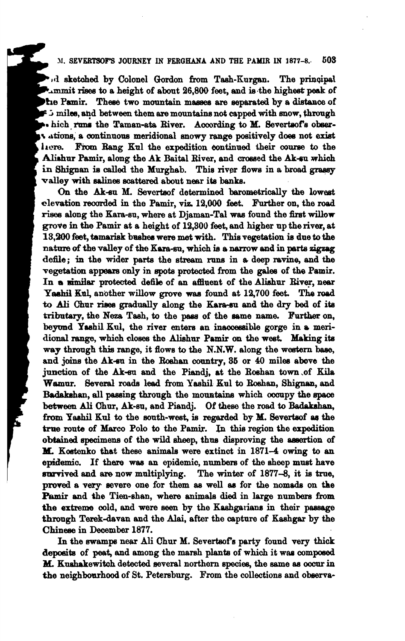#### 503 M. SEVERTSOF'S JOURNEY IN FERGHANA AND THE PAMIR IN 1877-8.

ad sketched by Colonel Gordon from Tash-Kurgan. The principal Lub times to a height of about 26,800 feet, and is the highest peak of the Pamir. These two mountain masses are separated by a distance of  $\epsilon$  is miles, and between them are mountains not capped with snow, through . hich runs the Taman-ata River. According to M. Severtsof's obser-A ations, a continuous meridional snowy range positively does not exist From Rang Kul the expedition continued their course to the here. Alishur Pamir, along the Ak Baital River, and crossed the Ak-su which in Shignan is called the Murghab. This river flows in a broad grassy valley with salines scattered about near its banks.

On the Ak-su M. Severtsof determined barometrically the lowest elevation recorded in the Pamir, viz. 12,000 feet. Further on, the road rises along the Kara-su, where at Diaman-Tal was found the first willow grove in the Pamir at a height of 12,300 feet, and higher up the river, at 13,200 feet, tamarisk bushes were met with. This vegetation is due to the nature of the valley of the Kara-su, which is a narrow and in parts zigzag defile; in the wider parts the stream runs in a deep ravine, and the vegetation appears only in spots protected from the gales of the Pamir. In a similar protected defile of an affluent of the Alishur River, near Yashil Kul, another willow grove was found at 12,700 feet. The road to Ali Chur rises gradually along the Kara-su and the dry bed of its tributary, the Neza Tash, to the pass of the same name. Further on, beyond Yashil Kul, the river enters an inaccessible gorge in a meridional range, which closes the Alishur Pamir on the west. Making its way through this range, it flows to the N.N.W. along the western base. and joins the Ak-su in the Roshan country, 35 or 40 miles above the junction of the Ak-su and the Piandj, at the Roshan town of Kila Wamur. Several roads lead from Yashil Kul to Roshan, Shignan, and Badakshan, all passing through the mountains which occupy the space between Ali Chur, Ak-su, and Piandj. Of these the road to Badakshan, from Yashil Kul to the south-west, is regarded by M. Severtsof as the true route of Marco Polo to the Pamir. In this region the expedition obtained specimens of the wild sheep, thus disproving the assertion of M. Kostenko that these animals were extinct in 1871-4 owing to an epidemic. If there was an epidemic, numbers of the sheep must have survived and are now multiplying. The winter of 1877-8, it is true. proved a very severe one for them as well as for the nomads on the Pamir and the Tien-shan, where animals died in large numbers from the extreme cold, and were seen by the Kashgarians in their passage through Terek-davan and the Alai, after the capture of Kashgar by the Chinese in December 1877.

In the swamps near Ali Chur M. Severtsof's party found very thick deposits of peat, and among the marsh plants of which it was composed M. Kushakewitch detected several northern species, the same as occur in the neighbourhood of St. Petersburg. From the collections and observa-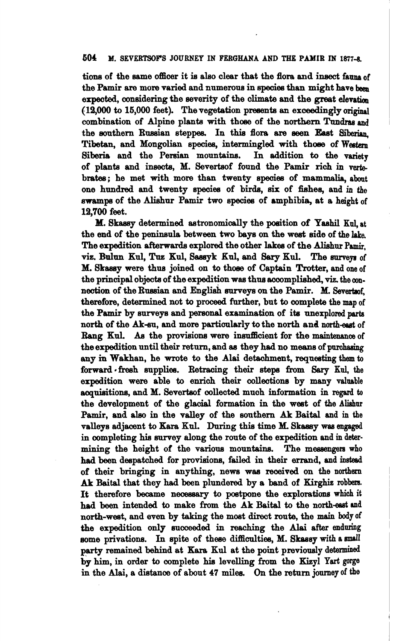### 504 M. SEVERTSOF'S JOURNEY IN FERGHANA AND THE PAMIR IN 1877-8.

tions of the same officer it is also clear that the flora and insect fauna of the Pamir are more varied and numerous in species than might have been expected, considering the severity of the climate and the great elevation (12,000 to 15,000 feet). The vegetation presents an exceedingly original combination of Alpine plants with those of the northern Tundras and the southern Russian steppes. In this flora are seen East Siberian Tibetan, and Mongolian species, intermingled with those of Western Siberia and the Persian mountains. In addition to the variety of plants and insects. M. Severtsof found the Pamir rich in vertebrates; he met with more than twenty species of mammalia, about one hundred and twenty species of birds, six of fishes, and in the swamps of the Alishur Pamir two species of amphibia, at a height of 12,700 feet.

M. Skassy determined astronomically the position of Yashil Kul. at the end of the peninsula between two bays on the west side of the lake. The expedition afterwards explored the other lakes of the Alishur Pamir. viz, Bulun Kul, Tuz Kul, Sassyk Kul, and Sary Kul. The surveys of M. Skassy were thus joined on to those of Captain Trotter, and one of the principal objects of the expedition was thus accomplished, viz. the connection of the Russian and English surveys on the Pamir. M. Severtsof. therefore, determined not to proceed further, but to complete the map of the Pamir by surveys and personal examination of its unexplored parts north of the Ak-su, and more particularly to the north and north-east of Rang Kul. As the provisions were insufficient for the maintenance of the expedition until their return, and as they had no means of purchasing any in Wakhan, he wrote to the Alai detachment, requesting them to forward fresh supplies. Retracing their steps from Sary Kul, the expedition were able to enrich their collections by many valuable acquisitions, and M. Severtsof collected much information in regard to the development of the glacial formation in the west of the Alishur Pamir, and also in the valley of the southern Ak Baital and in the valleys adjacent to Kara Kul. During this time M. Skassy was engaged in completing his survey along the route of the expedition and in determining the height of the various mountains. The messengers who had been despatched for provisions, failed in their errand, and instead of their bringing in anything, news was received on the northern Ak Baital that they had been plundered by a band of Kirghiz robbers. It therefore became necessary to postpone the explorations which it had been intended to make from the Ak Baital to the north-east and north-west, and even by taking the most direct route, the main body of the expedition only succeeded in reaching the Alai after enduring some privations. In spite of these difficulties, M. Skassy with a small party remained behind at Kara Kul at the point previously determined by him, in order to complete his levelling from the Kizyl Yart gorge in the Alai, a distance of about 47 miles. On the return journey of the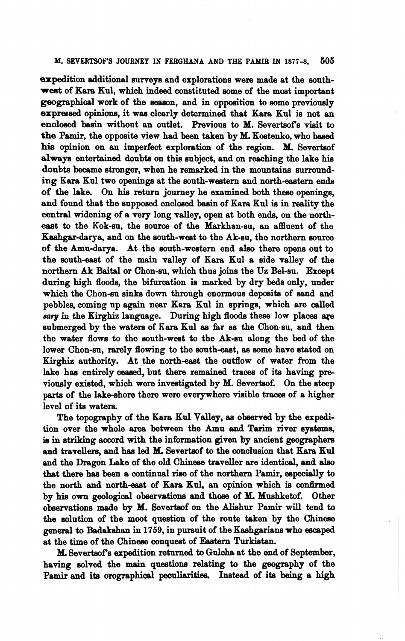### **M. SEVERTSOPS JOURNEY IN FERGHANA AND THE PAMIB IN 1877-8. 506**

expedition additional surveys and explorations were made at the south**we&** of Bare Kul, which indeed constituted some of the most important geographical work of the seaeon, and in oppoeition to some previously expressed opinions, it was clearly determined that Kara Kul is not an enclosed basin without an outlet. Previous to M. Severtsof's visit to the Pamir, the opposite view had been taken by M. Kostenko, who based **hie** opinion on an imperfect exploration of the region. M. Severteof **alwaye** entertained donbta on this subject, and on reaching the lake his douhts became stronger, when he remarked in the mountains surrounding Kara Kul two openings at the south-western and north-eastern ends of the lake. On his return journey he examined both these openings, and found that the supposed enclosed basin of Kara Kul is in reality the central widening of a very long valley, open at both ends, on the northeast to tho Kok-su, the source of the Markhan-su, an aflluent of tho Kashgar-darya, and on the south-west to the Ak-su, tho northern source of the Amu-darya. At the south-western end also there opens out to the south-east of the main valley of Kara Kul a side valley of the northern Ak Baital or Chon-en, which thus joins the Uz Bel-su. Except duting high floods, the bifurcation **ia** marked by dry beds only, under which the Chon-su sinks down through enormous deposits of sand and pebbles, coming up again near Kara Kul in springs, which are called sary in the Kirghiz language. During high floods these low places are submerged by the waters of **Ksra** Kul ea far as the Chon.su, and then the water flows to the south-west to the Ak-su along the bed of the lower Chon-su, rarely flowing to the south-east, **ae** some have stated on Kirghiz authority. At the north-east the outflow of water from the lake has entirely ceased, but there remained traces of its having previously existed, which were investigated by M. Severts of. On the steep **parte** of the lake-shore there were everywhere visible traces of a higher level of ita waters.

The topography of the Kara Kul Valley, as observed by the expedition over the whole area between the **Amn** and Tarim river systems, **ie** in striking **accord** with the information given by ancient geographers and travellers, and hae led **M..** Severteof to the conclusion that Kara Kul and the Dragon Lake of the old Chinese traveller are identical, and also that there has been a continual rise of the northern Pamir, especially to the north and north-east of Kara Kul, an opinion which is confirmed by **his** own geological observations and those of **M..** Mushketof. Other observations made by M. &verbof on the Alhhur Pamir **will** tend to **the** solution of the moot question of the **route** taken by the Chinese general to Badakshan in 1759, in pursuit of the Kashgarians who escaped at the time of the Chinese conquest of Eastern Turkistan.

**M. Severtsof's expedition returned to Gulcha at the end of September,** having solved the main questions relating to **the** geography of the Pamir and its orographical peculiarities. Instead of its being a high